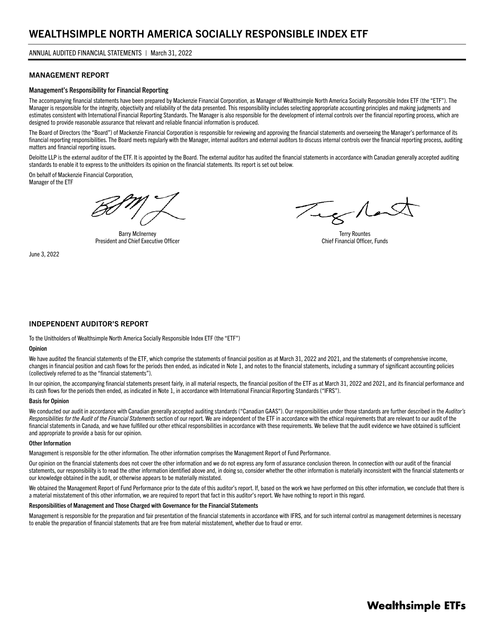#### MANAGEMENT REPORT

#### Management's Responsibility for Financial Reporting

The accompanying financial statements have been prepared by Mackenzie Financial Corporation, as Manager of Wealthsimple North America Socially Responsible Index ETF (the "ETF"). The Manager is responsible for the integrity, objectivity and reliability of the data presented. This responsibility includes selecting appropriate accounting principles and making judgments and estimates consistent with International Financial Reporting Standards. The Manager is also responsible for the development of internal controls over the financial reporting process, which are designed to provide reasonable assurance that relevant and reliable financial information is produced.

The Board of Directors (the "Board") of Mackenzie Financial Corporation is responsible for reviewing and approving the financial statements and overseeing the Manager's performance of its financial reporting responsibilities. The Board meets regularly with the Manager, internal auditors and external auditors to discuss internal controls over the financial reporting process, auditing matters and financial reporting issues.

Deloitte LLP is the external auditor of the ETF. It is appointed by the Board. The external auditor has audited the financial statements in accordance with Canadian generally accepted auditing standards to enable it to express to the unitholders its opinion on the financial statements. Its report is set out below.

On behalf of Mackenzie Financial Corporation, Manager of the ETF

Barry McInerney President and Chief Executive Officer

June 3, 2022

Teg Now

Terry Rountes Chief Financial Officer, Funds

#### INDEPENDENT AUDITOR'S REPORT

To the Unitholders of Wealthsimple North America Socially Responsible Index ETF (the "ETF")

#### **Opinion**

We have audited the financial statements of the ETF, which comprise the statements of financial position as at March 31, 2022 and 2021, and the statements of comprehensive income, changes in financial position and cash flows for the periods then ended, as indicated in Note 1, and notes to the financial statements, including a summary of significant accounting policies (collectively referred to as the "financial statements").

In our opinion, the accompanying financial statements present fairly, in all material respects, the financial position of the ETF as at March 31, 2022 and 2021, and its financial performance and its cash flows for the periods then ended, as indicated in Note 1, in accordance with International Financial Reporting Standards ("IFRS").

#### Basis for Opinion

We conducted our audit in accordance with Canadian generally accepted auditing standards ("Canadian GAAS"). Our responsibilities under those standards are further described in the *Auditor's Responsibilities for the Audit of the Financial Statements* section of our report. We are independent of the ETF in accordance with the ethical requirements that are relevant to our audit of the financial statements in Canada, and we have fulfilled our other ethical responsibilities in accordance with these requirements. We believe that the audit evidence we have obtained is sufficient and appropriate to provide a basis for our opinion.

#### Other Information

Management is responsible for the other information. The other information comprises the Management Report of Fund Performance.

Our opinion on the financial statements does not cover the other information and we do not express any form of assurance conclusion thereon. In connection with our audit of the financial statements, our responsibility is to read the other information identified above and, in doing so, consider whether the other information is materially inconsistent with the financial statements or our knowledge obtained in the audit, or otherwise appears to be materially misstated.

We obtained the Management Report of Fund Performance prior to the date of this auditor's report. If, based on the work we have performed on this other information, we conclude that there is a material misstatement of this other information, we are required to report that fact in this auditor's report. We have nothing to report in this regard.

#### Responsibilities of Management and Those Charged with Governance for the Financial Statements

Management is responsible for the preparation and fair presentation of the financial statements in accordance with IFRS, and for such internal control as management determines is necessary to enable the preparation of financial statements that are free from material misstatement, whether due to fraud or error.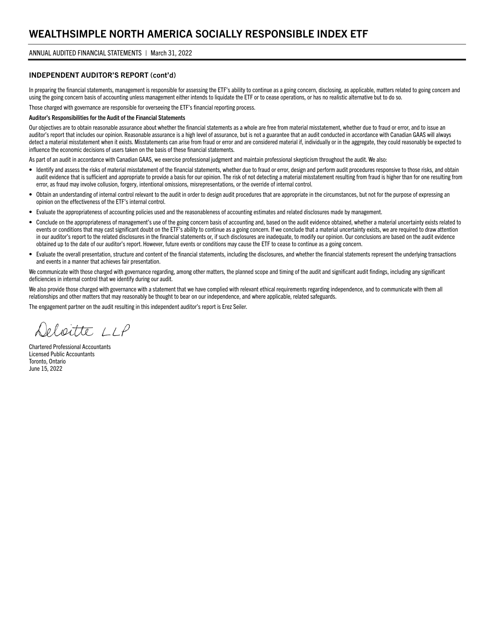#### INDEPENDENT AUDITOR'S REPORT (cont'd)

In preparing the financial statements, management is responsible for assessing the ETF's ability to continue as a going concern, disclosing, as applicable, matters related to going concern and using the going concern basis of accounting unless management either intends to liquidate the ETF or to cease operations, or has no realistic alternative but to do so.

Those charged with governance are responsible for overseeing the ETF's financial reporting process.

#### Auditor's Responsibilities for the Audit of the Financial Statements

Our objectives are to obtain reasonable assurance about whether the financial statements as a whole are free from material misstatement, whether due to fraud or error, and to issue an auditor's report that includes our opinion. Reasonable assurance is a high level of assurance, but is not a guarantee that an audit conducted in accordance with Canadian GAAS will always detect a material misstatement when it exists. Misstatements can arise from fraud or error and are considered material if, individually or in the aggregate, they could reasonably be expected to influence the economic decisions of users taken on the basis of these financial statements.

As part of an audit in accordance with Canadian GAAS, we exercise professional judgment and maintain professional skepticism throughout the audit. We also:

- Identify and assess the risks of material misstatement of the financial statements, whether due to fraud or error, design and perform audit procedures responsive to those risks, and obtain audit evidence that is sufficient and appropriate to provide a basis for our opinion. The risk of not detecting a material misstatement resulting from fraud is higher than for one resulting from error, as fraud may involve collusion, forgery, intentional omissions, misrepresentations, or the override of internal control.
- Obtain an understanding of internal control relevant to the audit in order to design audit procedures that are appropriate in the circumstances, but not for the purpose of expressing an opinion on the effectiveness of the ETF's internal control.
- Evaluate the appropriateness of accounting policies used and the reasonableness of accounting estimates and related disclosures made by management.
- Conclude on the appropriateness of management's use of the going concern basis of accounting and, based on the audit evidence obtained, whether a material uncertainty exists related to events or conditions that may cast significant doubt on the ETF's ability to continue as a going concern. If we conclude that a material uncertainty exists, we are required to draw attention in our auditor's report to the related disclosures in the financial statements or, if such disclosures are inadequate, to modify our opinion. Our conclusions are based on the audit evidence obtained up to the date of our auditor's report. However, future events or conditions may cause the ETF to cease to continue as a going concern.
- Evaluate the overall presentation, structure and content of the financial statements, including the disclosures, and whether the financial statements represent the underlying transactions and events in a manner that achieves fair presentation.

We communicate with those charged with governance regarding, among other matters, the planned scope and timing of the audit and significant audit findings, including any significant deficiencies in internal control that we identify during our audit.

We also provide those charged with governance with a statement that we have complied with relevant ethical requirements regarding independence, and to communicate with them all relationships and other matters that may reasonably be thought to bear on our independence, and where applicable, related safeguards.

The engagement partner on the audit resulting in this independent auditor's report is Erez Seiler.

eloitte 11P

Chartered Professional Accountants Licensed Public Accountants Toronto, Ontario June 15, 2022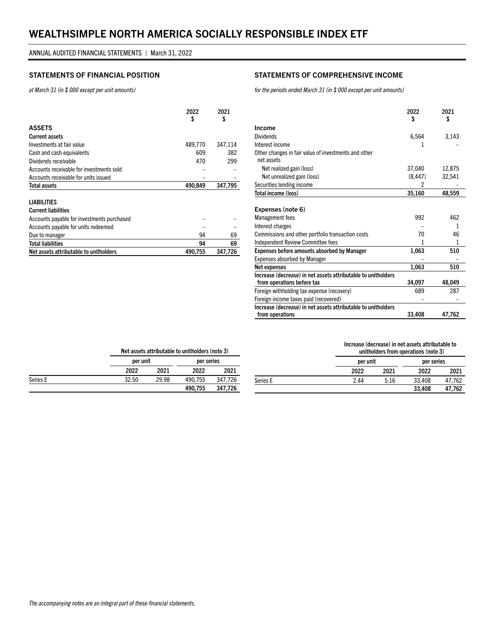#### STATEMENTS OF FINANCIAL POSITION STATEMENTS OF COMPREHENSIVE INCOME

*at March 31 (in \$ 000 except per unit amounts)*

|                                          | 2022<br>\$ | 2021<br>\$ |
|------------------------------------------|------------|------------|
| <b>ASSETS</b>                            |            |            |
| <b>Current assets</b>                    |            |            |
| Investments at fair value                | 489,770    | 347,114    |
| Cash and cash equivalents                | 609        | 382        |
| Dividends receivable                     | 470        | 299        |
| Accounts receivable for investments sold |            |            |
| Accounts receivable for units issued     |            |            |
| Total assets                             | 490.849    | 347,795    |
|                                          |            |            |

#### LIABILITIES

| <b>Current liabilities</b>                 |         |         |
|--------------------------------------------|---------|---------|
| Accounts payable for investments purchased |         |         |
| Accounts payable for units redeemed        |         |         |
| Due to manager                             | 94      | 69      |
| <b>Total liabilities</b>                   | 94      | 69      |
| Net assets attributable to unitholders     | 490.755 | 347.726 |

*for the periods ended March 31 (in \$ 000 except per unit amounts)*

|                                                               | 2022<br>\$ | 2021<br>\$ |
|---------------------------------------------------------------|------------|------------|
| Income                                                        |            |            |
| <b>Dividends</b>                                              | 6,564      | 3,143      |
| Interest income                                               | ı          |            |
| Other changes in fair value of investments and other          |            |            |
| net assets                                                    |            |            |
| Net realized gain (loss)                                      | 37,040     | 12,875     |
| Net unrealized gain (loss)                                    | (8, 447)   | 32,541     |
| Securities lending income                                     | 2          |            |
| Total income (loss)                                           | 35,160     | 48,559     |
|                                                               |            |            |
| Expenses (note 6)                                             |            |            |
| Management fees                                               | 992        | 462        |
| Interest charges                                              |            | 1          |
| Commissions and other portfolio transaction costs             | 70         | 46         |
| <b>Independent Review Committee fees</b>                      | 1          | 1          |
| <b>Expenses before amounts absorbed by Manager</b>            | 1,063      | 510        |
| Expenses absorbed by Manager                                  |            |            |
| Net expenses                                                  | 1,063      | 510        |
| Increase (decrease) in net assets attributable to unitholders |            |            |
| from operations before tax                                    | 34,097     | 48,049     |
| Foreign withholding tax expense (recovery)                    | 689        | 287        |
| Foreign income taxes paid (recovered)                         |            |            |
| Increase (decrease) in net assets attributable to unitholders |            |            |
| from operations                                               | 33,408     | 47,762     |

#### Increase (decrease) in net assets attributable to unitholders from operations (note 3)

|          |      | ununuters from operations (note 3) |        |            |  |
|----------|------|------------------------------------|--------|------------|--|
|          |      | per unit                           |        | per series |  |
|          | 2022 | 2021                               | 2022   | 2021       |  |
| Series E | 2.44 | 5.16                               | 33.408 | 47.762     |  |
|          |      |                                    | 33.408 | 47,762     |  |

Net assets attributable to unitholders (note 3)

|          |       | per unit |         | per series |
|----------|-------|----------|---------|------------|
|          | 2022  | 2021     | 2022    | 2021       |
| Series E | 32.50 | 29.98    | 490.755 | 347.726    |
|          |       |          | 490.755 | 347.726    |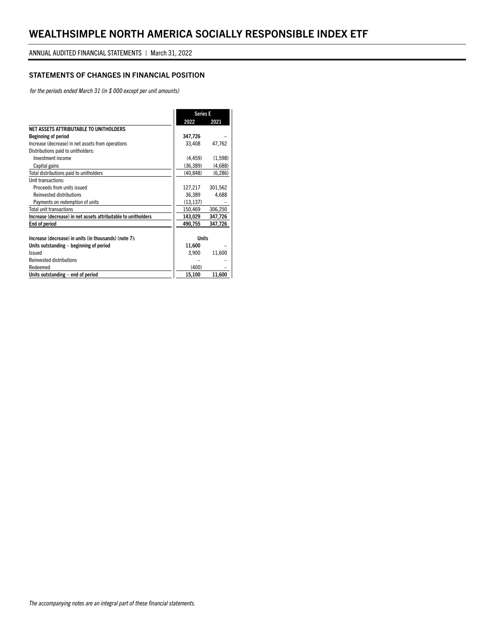### STATEMENTS OF CHANGES IN FINANCIAL POSITION

*for the periods ended March 31 (in \$ 000 except per unit amounts)*

|                                                               | <b>Series E</b> |          |
|---------------------------------------------------------------|-----------------|----------|
|                                                               | 2022            | 2021     |
| NET ASSETS ATTRIBUTABLE TO UNITHOLDERS                        |                 |          |
| <b>Beginning of period</b>                                    | 347,726         |          |
| Increase (decrease) in net assets from operations             | 33,408          | 47,762   |
| Distributions paid to unitholders:                            |                 |          |
| Investment income                                             | (4, 459)        | (1,598)  |
| Capital gains                                                 | (36, 389)       | (4,688)  |
| Total distributions paid to unitholders                       | (40, 848)       | (6, 286) |
| Unit transactions:                                            |                 |          |
| Proceeds from units issued                                    | 127,217         | 301,562  |
| <b>Reinvested distributions</b>                               | 36.389          | 4.688    |
| Payments on redemption of units                               | (13, 137)       |          |
| Total unit transactions                                       | 150,469         | 306,250  |
| Increase (decrease) in net assets attributable to unitholders | 143,029         | 347,726  |
| End of period                                                 | 490,755         | 347,726  |
|                                                               |                 |          |
| Increase (decrease) in units (in thousands) (note 7):         | <b>Units</b>    |          |
| Units outstanding – beginning of period                       | 11,600          |          |
| Issued                                                        | 3,900           | 11,600   |
| <b>Reinvested distributions</b>                               |                 |          |
| Redeemed                                                      | (400)           |          |
| Units outstanding - end of period                             | 15,100          | 11,600   |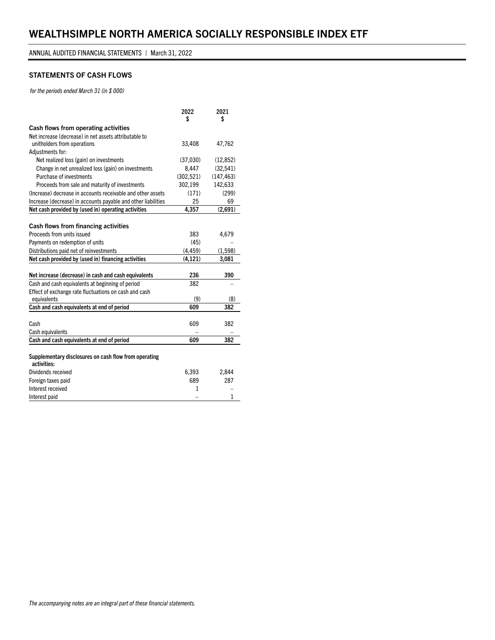#### STATEMENTS OF CASH FLOWS

*for the periods ended March 31 (in \$ 000)*

|                                                                      | 2022<br>S  | 2021<br>\$ |
|----------------------------------------------------------------------|------------|------------|
| Cash flows from operating activities                                 |            |            |
| Net increase (decrease) in net assets attributable to                |            |            |
| unitholders from operations                                          | 33,408     | 47,762     |
| Adjustments for:                                                     |            |            |
| Net realized loss (gain) on investments                              | (37,030)   | (12, 852)  |
| Change in net unrealized loss (gain) on investments                  | 8,447      | (32, 541)  |
| Purchase of investments                                              | (302, 521) | (147, 463) |
| Proceeds from sale and maturity of investments                       | 302,199    | 142,633    |
| (Increase) decrease in accounts receivable and other assets          | (171)      | (299)      |
| Increase (decrease) in accounts payable and other liabilities        | 25         | 69         |
| Net cash provided by (used in) operating activities                  | 4,357      | (2,691)    |
|                                                                      |            |            |
| Cash flows from financing activities                                 |            |            |
| Proceeds from units issued                                           | 383        | 4,679      |
| Payments on redemption of units                                      | (45)       |            |
| Distributions paid net of reinvestments                              | (4, 459)   | (1, 598)   |
| Net cash provided by (used in) financing activities                  | (4, 121)   | 3,081      |
|                                                                      |            |            |
| Net increase (decrease) in cash and cash equivalents                 | 236        | 390        |
| Cash and cash equivalents at beginning of period                     | 382        |            |
| Effect of exchange rate fluctuations on cash and cash                |            |            |
| equivalents                                                          | (9)        | (8)        |
| Cash and cash equivalents at end of period                           | 609        | 382        |
|                                                                      |            |            |
| Cash                                                                 | 609        | 382        |
| Cash equivalents                                                     |            |            |
| Cash and cash equivalents at end of period                           | 609        | 382        |
|                                                                      |            |            |
| Supplementary disclosures on cash flow from operating<br>activities: |            |            |
| Dividends received                                                   | 6,393      | 2,844      |
| Foreign taxes paid                                                   | 689        | 287        |
| Interest received                                                    | 1          |            |
| Interest paid                                                        |            | 1          |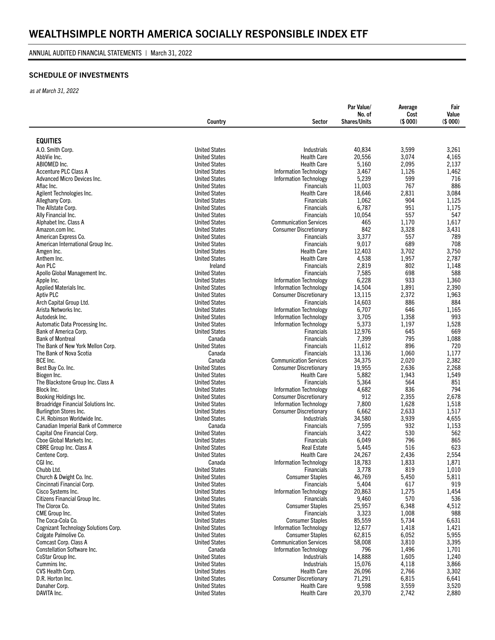#### ANNUAL AUDITED FINANCIAL STATEMENTS | March 31, 2022

### SCHEDULE OF INVESTMENTS

*as at March 31, 2022*

|                                                                     | Country                                      | Sector                                                         | Par Value/<br>No. of<br><b>Shares/Units</b> | Average<br>Cost<br>(\$000) | Fair<br>Value<br>(\$000) |
|---------------------------------------------------------------------|----------------------------------------------|----------------------------------------------------------------|---------------------------------------------|----------------------------|--------------------------|
|                                                                     |                                              |                                                                |                                             |                            |                          |
| <b>EQUITIES</b>                                                     |                                              |                                                                |                                             |                            |                          |
| A.O. Smith Corp.                                                    | <b>United States</b>                         | Industrials                                                    | 40,834                                      | 3,599                      | 3,261                    |
| AbbVie Inc.                                                         | <b>United States</b>                         | <b>Health Care</b>                                             | 20,556                                      | 3,074                      | 4.165                    |
| ABIOMED Inc.                                                        | <b>United States</b>                         | <b>Health Care</b>                                             | 5,160                                       | 2,095                      | 2,137                    |
| <b>Accenture PLC Class A</b>                                        | <b>United States</b>                         | <b>Information Technology</b>                                  | 3,467                                       | 1,126                      | 1,462                    |
| Advanced Micro Devices Inc.                                         | <b>United States</b>                         | <b>Information Technology</b><br><b>Financials</b>             | 5,239                                       | 599<br>767                 | 716<br>886               |
| Aflac Inc.<br>Agilent Technologies Inc.                             | <b>United States</b><br><b>United States</b> | <b>Health Care</b>                                             | 11,003<br>18,646                            | 2,831                      | 3,084                    |
| Alleghany Corp.                                                     | <b>United States</b>                         | <b>Financials</b>                                              | 1,062                                       | 904                        | 1,125                    |
| The Allstate Corp.                                                  | <b>United States</b>                         | <b>Financials</b>                                              | 6,787                                       | 951                        | 1,175                    |
| Ally Financial Inc.                                                 | <b>United States</b>                         | <b>Financials</b>                                              | 10,054                                      | 557                        | 547                      |
| Alphabet Inc. Class A                                               | <b>United States</b>                         | <b>Communication Services</b>                                  | 465                                         | 1,170                      | 1,617                    |
| Amazon.com Inc.                                                     | <b>United States</b>                         | <b>Consumer Discretionary</b>                                  | 842                                         | 3,328                      | 3,431                    |
| American Express Co.                                                | <b>United States</b>                         | <b>Financials</b>                                              | 3,377                                       | 557                        | 789                      |
| American International Group Inc.                                   | <b>United States</b>                         | <b>Financials</b>                                              | 9,017                                       | 689                        | 708                      |
| Amgen Inc.                                                          | <b>United States</b>                         | <b>Health Care</b>                                             | 12,403                                      | 3,702                      | 3,750                    |
| Anthem Inc.                                                         | <b>United States</b>                         | <b>Health Care</b>                                             | 4,538                                       | 1,957                      | 2,787                    |
| Aon PLC                                                             | Ireland                                      | <b>Financials</b>                                              | 2,819                                       | 802                        | 1,148                    |
| Apollo Global Management Inc.                                       | <b>United States</b>                         | <b>Financials</b>                                              | 7,585                                       | 698                        | 588                      |
| Apple Inc.                                                          | <b>United States</b>                         | <b>Information Technology</b>                                  | 6,228                                       | 933                        | 1,360                    |
| Applied Materials Inc.                                              | <b>United States</b><br><b>United States</b> | <b>Information Technology</b>                                  | 14,504                                      | 1,891                      | 2,390                    |
| <b>Aptiv PLC</b><br>Arch Capital Group Ltd.                         | <b>United States</b>                         | <b>Consumer Discretionary</b><br><b>Financials</b>             | 13,115<br>14,603                            | 2,372<br>886               | 1,963<br>884             |
| Arista Networks Inc.                                                | <b>United States</b>                         | <b>Information Technology</b>                                  | 6,707                                       | 646                        | 1,165                    |
| Autodesk Inc.                                                       | <b>United States</b>                         | Information Technology                                         | 3,705                                       | 1,358                      | 993                      |
| Automatic Data Processing Inc.                                      | <b>United States</b>                         | <b>Information Technology</b>                                  | 5,373                                       | 1,197                      | 1,528                    |
| Bank of America Corp.                                               | <b>United States</b>                         | <b>Financials</b>                                              | 12,976                                      | 645                        | 669                      |
| <b>Bank of Montreal</b>                                             | Canada                                       | <b>Financials</b>                                              | 7,399                                       | 795                        | 1,088                    |
| The Bank of New York Mellon Corp.                                   | <b>United States</b>                         | <b>Financials</b>                                              | 11,612                                      | 896                        | 720                      |
| The Bank of Nova Scotia                                             | Canada                                       | <b>Financials</b>                                              | 13,136                                      | 1,060                      | 1,177                    |
| BCE Inc.                                                            | Canada                                       | <b>Communication Services</b>                                  | 34,375                                      | 2,020                      | 2,382                    |
| Best Buy Co. Inc.                                                   | <b>United States</b>                         | <b>Consumer Discretionary</b>                                  | 19,955                                      | 2,636                      | 2,268                    |
| Biogen Inc.                                                         | <b>United States</b>                         | <b>Health Care</b>                                             | 5,882                                       | 1,943                      | 1,549                    |
| The Blackstone Group Inc. Class A                                   | <b>United States</b>                         | <b>Financials</b>                                              | 5,364                                       | 564                        | 851                      |
| Block Inc.                                                          | <b>United States</b>                         | <b>Information Technology</b>                                  | 4,682                                       | 836                        | 794                      |
| Booking Holdings Inc.<br><b>Broadridge Financial Solutions Inc.</b> | <b>United States</b><br><b>United States</b> | <b>Consumer Discretionary</b><br><b>Information Technology</b> | 912<br>7,800                                | 2,355<br>1,628             | 2,678<br>1,518           |
| Burlington Stores Inc.                                              | <b>United States</b>                         | <b>Consumer Discretionary</b>                                  | 6,662                                       | 2,633                      | 1,517                    |
| C.H. Robinson Worldwide Inc.                                        | <b>United States</b>                         | <b>Industrials</b>                                             | 34,580                                      | 3,939                      | 4,655                    |
| <b>Canadian Imperial Bank of Commerce</b>                           | Canada                                       | <b>Financials</b>                                              | 7,595                                       | 932                        | 1,153                    |
| Capital One Financial Corp.                                         | <b>United States</b>                         | <b>Financials</b>                                              | 3,422                                       | 530                        | 562                      |
| Cboe Global Markets Inc.                                            | <b>United States</b>                         | <b>Financials</b>                                              | 6,049                                       | 796                        | 865                      |
| CBRE Group Inc. Class A                                             | <b>United States</b>                         | <b>Real Estate</b>                                             | 5,445                                       | 516                        | 623                      |
| Centene Corp.                                                       | <b>United States</b>                         | <b>Health Care</b>                                             | 24,267                                      | 2,436                      | 2,554                    |
| CGI Inc.                                                            | Canada                                       | <b>Information Technology</b>                                  | 18,783                                      | 1,833                      | 1,871                    |
| Chubb Ltd.                                                          | <b>United States</b>                         | Financials                                                     | 3,778                                       | 819                        | 1,010                    |
| Church & Dwight Co. Inc.                                            | <b>United States</b>                         | <b>Consumer Staples</b>                                        | 46,769                                      | 5,450                      | 5,811                    |
| Cincinnati Financial Corp.                                          | <b>United States</b>                         | <b>Financials</b>                                              | 5,404                                       | 617                        | 919                      |
| Cisco Systems Inc.                                                  | <b>United States</b>                         | Information Technology                                         | 20,863                                      | 1,275                      | 1,454                    |
| Citizens Financial Group Inc.                                       | <b>United States</b>                         | <b>Financials</b>                                              | 9,460                                       | 570                        | 536                      |
| The Clorox Co.<br>CME Group Inc.                                    | <b>United States</b><br><b>United States</b> | <b>Consumer Staples</b><br><b>Financials</b>                   | 25,957<br>3,323                             | 6,348<br>1,008             | 4,512<br>988             |
| The Coca-Cola Co.                                                   | <b>United States</b>                         | <b>Consumer Staples</b>                                        | 85,559                                      | 5,734                      | 6,631                    |
| <b>Cognizant Technology Solutions Corp.</b>                         | <b>United States</b>                         | <b>Information Technology</b>                                  | 12,677                                      | 1,418                      | 1,421                    |
| Colgate Palmolive Co.                                               | <b>United States</b>                         | <b>Consumer Staples</b>                                        | 62,815                                      | 6,052                      | 5,955                    |
| Comcast Corp. Class A                                               | <b>United States</b>                         | <b>Communication Services</b>                                  | 58,008                                      | 3,810                      | 3,395                    |
| <b>Constellation Software Inc.</b>                                  | Canada                                       | <b>Information Technology</b>                                  | 796                                         | 1,496                      | 1,701                    |
| CoStar Group Inc.                                                   | <b>United States</b>                         | Industrials                                                    | 14,888                                      | 1,605                      | 1,240                    |
| Cummins Inc.                                                        | <b>United States</b>                         | Industrials                                                    | 15,076                                      | 4,118                      | 3,866                    |
| CVS Health Corp.                                                    | <b>United States</b>                         | <b>Health Care</b>                                             | 26,096                                      | 2,766                      | 3,302                    |
| D.R. Horton Inc.                                                    | <b>United States</b>                         | <b>Consumer Discretionary</b>                                  | 71,291                                      | 6,815                      | 6,641                    |
| Danaher Corp.                                                       | <b>United States</b>                         | <b>Health Care</b>                                             | 9,598                                       | 3,559                      | 3,520                    |
| DAVITA Inc.                                                         | <b>United States</b>                         | <b>Health Care</b>                                             | 20,370                                      | 2,742                      | 2,880                    |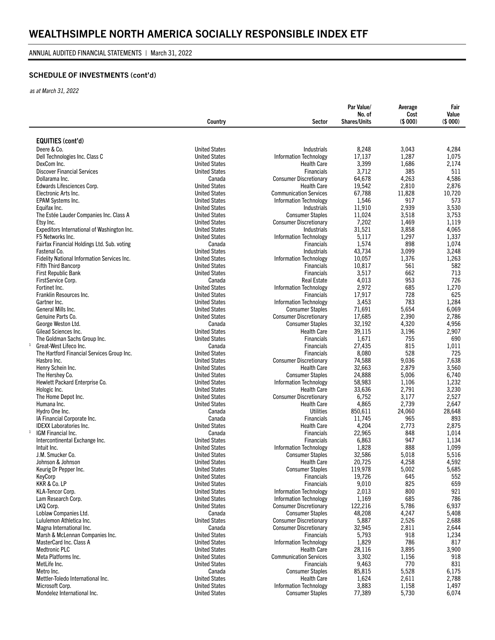## SCHEDULE OF INVESTMENTS (cont'd)

*as at March 31, 2022*

|                                                      | Country                                      | Sector                                              | Par Value/<br>No. of<br><b>Shares/Units</b> | Average<br>Cost<br>(\$000) | Fair<br>Value<br>(\$000) |
|------------------------------------------------------|----------------------------------------------|-----------------------------------------------------|---------------------------------------------|----------------------------|--------------------------|
|                                                      |                                              |                                                     |                                             |                            |                          |
| <b>EQUITIES (cont'd)</b>                             |                                              |                                                     |                                             |                            |                          |
| Deere & Co.                                          | <b>United States</b>                         | <b>Industrials</b>                                  | 8,248                                       | 3,043                      | 4,284                    |
| Dell Technologies Inc. Class C                       | <b>United States</b>                         | <b>Information Technology</b>                       | 17,137                                      | 1,287                      | 1,075                    |
| DexCom Inc.                                          | <b>United States</b>                         | <b>Health Care</b>                                  | 3,399                                       | 1,686                      | 2,174                    |
| <b>Discover Financial Services</b>                   | <b>United States</b>                         | <b>Financials</b>                                   | 3,712                                       | 385                        | 511                      |
| Dollarama Inc.                                       | Canada                                       | <b>Consumer Discretionary</b>                       | 64,678                                      | 4,263                      | 4,586                    |
| Edwards Lifesciences Corp.                           | <b>United States</b>                         | <b>Health Care</b>                                  | 19,542                                      | 2,810                      | 2,876                    |
| Electronic Arts Inc.                                 | <b>United States</b>                         | <b>Communication Services</b>                       | 67,788                                      | 11,828<br>917              | 10,720                   |
| EPAM Systems Inc.<br>Equifax Inc.                    | <b>United States</b><br><b>United States</b> | <b>Information Technology</b><br><b>Industrials</b> | 1,546<br>11,910                             | 2,939                      | 573<br>3,530             |
| The Estée Lauder Companies Inc. Class A              | <b>United States</b>                         | <b>Consumer Staples</b>                             | 11,024                                      | 3,518                      | 3,753                    |
| Etsy Inc.                                            | <b>United States</b>                         | <b>Consumer Discretionary</b>                       | 7,202                                       | 1,469                      | 1,119                    |
| Expeditors International of Washington Inc.          | <b>United States</b>                         | <b>Industrials</b>                                  | 31,521                                      | 3,858                      | 4,065                    |
| F5 Networks Inc.                                     | <b>United States</b>                         | <b>Information Technology</b>                       | 5,117                                       | 1,297                      | 1,337                    |
| Fairfax Financial Holdings Ltd. Sub. voting          | Canada                                       | <b>Financials</b>                                   | 1,574                                       | 898                        | 1,074                    |
| Fastenal Co.                                         | <b>United States</b>                         | <b>Industrials</b>                                  | 43,734                                      | 3,099                      | 3,248                    |
| Fidelity National Information Services Inc.          | <b>United States</b>                         | <b>Information Technology</b>                       | 10,057                                      | 1,376                      | 1,263                    |
| <b>Fifth Third Bancorp</b>                           | <b>United States</b>                         | <b>Financials</b>                                   | 10,817                                      | 561                        | 582                      |
| First Republic Bank                                  | <b>United States</b>                         | <b>Financials</b>                                   | 3,517                                       | 662                        | 713                      |
| FirstService Corp.                                   | Canada                                       | <b>Real Estate</b>                                  | 4,013                                       | 953                        | 726                      |
| Fortinet Inc.                                        | <b>United States</b>                         | <b>Information Technology</b>                       | 2,972                                       | 685                        | 1,270                    |
| Franklin Resources Inc.                              | <b>United States</b>                         | <b>Financials</b>                                   | 17,917                                      | 728                        | 625                      |
| Gartner Inc.                                         | <b>United States</b>                         | <b>Information Technology</b>                       | 3,453                                       | 783                        | 1,284                    |
| General Mills Inc.                                   | <b>United States</b>                         | <b>Consumer Staples</b>                             | 71,691                                      | 5,654                      | 6,069                    |
| Genuine Parts Co.                                    | <b>United States</b>                         | <b>Consumer Discretionary</b>                       | 17,685                                      | 2,390                      | 2,786                    |
| George Weston Ltd.<br>Gilead Sciences Inc.           | Canada<br><b>United States</b>               | <b>Consumer Staples</b><br><b>Health Care</b>       | 32,192<br>39,115                            | 4,320<br>3,196             | 4,956<br>2,907           |
| The Goldman Sachs Group Inc.                         | <b>United States</b>                         | Financials                                          | 1,671                                       | 755                        | 690                      |
| $\mathbf{1}$<br>Great-West Lifeco Inc.               | Canada                                       | <b>Financials</b>                                   | 27,435                                      | 815                        | 1,011                    |
| The Hartford Financial Services Group Inc.           | <b>United States</b>                         | <b>Financials</b>                                   | 8,080                                       | 528                        | 725                      |
| Hasbro Inc.                                          | <b>United States</b>                         | <b>Consumer Discretionary</b>                       | 74,588                                      | 9,036                      | 7,638                    |
| Henry Schein Inc.                                    | <b>United States</b>                         | <b>Health Care</b>                                  | 32,663                                      | 2,879                      | 3,560                    |
| The Hershey Co.                                      | <b>United States</b>                         | <b>Consumer Staples</b>                             | 24,888                                      | 5,006                      | 6,740                    |
| Hewlett Packard Enterprise Co.                       | <b>United States</b>                         | <b>Information Technology</b>                       | 58,983                                      | 1,106                      | 1,232                    |
| Hologic Inc.                                         | <b>United States</b>                         | <b>Health Care</b>                                  | 33,636                                      | 2,791                      | 3,230                    |
| The Home Depot Inc.                                  | <b>United States</b>                         | <b>Consumer Discretionary</b>                       | 6,752                                       | 3,177                      | 2,527                    |
| Humana Inc.                                          | <b>United States</b>                         | <b>Health Care</b>                                  | 4,865                                       | 2,739                      | 2,647                    |
| Hydro One Inc.                                       | Canada                                       | <b>Utilities</b>                                    | 850,611                                     | 24,060                     | 28,648                   |
| IA Financial Corporate Inc.                          | Canada                                       | <b>Financials</b>                                   | 11,745                                      | 965                        | 893                      |
| <b>IDEXX Laboratories Inc.</b><br>$\mathbf{1}$       | <b>United States</b>                         | <b>Health Care</b>                                  | 4,204                                       | 2,773                      | 2,875                    |
| IGM Financial Inc.<br>Intercontinental Exchange Inc. | Canada                                       | <b>Financials</b>                                   | 22,965                                      | 848<br>947                 | 1,014                    |
| Intuit Inc.                                          | <b>United States</b><br><b>United States</b> | <b>Financials</b><br><b>Information Technology</b>  | 6,863<br>1,828                              | 888                        | 1,134<br>1,099           |
| J.M. Smucker Co.                                     | <b>United States</b>                         | <b>Consumer Staples</b>                             | 32,586                                      | 5,018                      | 5,516                    |
| Johnson & Johnson                                    | <b>United States</b>                         | <b>Health Care</b>                                  | 20,725                                      | 4,258                      | 4,592                    |
| Keurig Dr Pepper Inc.                                | <b>United States</b>                         | <b>Consumer Staples</b>                             | 119,978                                     | 5,002                      | 5,685                    |
| KeyCorp                                              | <b>United States</b>                         | <b>Financials</b>                                   | 19,726                                      | 645                        | 552                      |
| KKR & Co. LP                                         | <b>United States</b>                         | Financials                                          | 9,010                                       | 825                        | 659                      |
| KLA-Tencor Corp.                                     | <b>United States</b>                         | <b>Information Technology</b>                       | 2,013                                       | 800                        | 921                      |
| Lam Research Corp.                                   | <b>United States</b>                         | <b>Information Technology</b>                       | 1,169                                       | 685                        | 786                      |
| LKQ Corp.                                            | <b>United States</b>                         | <b>Consumer Discretionary</b>                       | 122,216                                     | 5,786                      | 6,937                    |
| Loblaw Companies Ltd.                                | Canada                                       | <b>Consumer Staples</b>                             | 48,208                                      | 4,247                      | 5,408                    |
| Lululemon Athletica Inc.                             | <b>United States</b>                         | <b>Consumer Discretionary</b>                       | 5,887                                       | 2,526                      | 2,688                    |
| Magna International Inc.                             | Canada                                       | <b>Consumer Discretionary</b>                       | 32,945                                      | 2,811                      | 2,644                    |
| Marsh & McLennan Companies Inc.                      | <b>United States</b>                         | Financials                                          | 5,793                                       | 918                        | 1,234                    |
| MasterCard Inc. Class A                              | <b>United States</b>                         | <b>Information Technology</b>                       | 1,829                                       | 786                        | 817                      |
| <b>Medtronic PLC</b>                                 | <b>United States</b><br><b>United States</b> | <b>Health Care</b><br><b>Communication Services</b> | 28,116                                      | 3,895                      | 3,900                    |
| Meta Platforms Inc.<br>MetLife Inc.                  | <b>United States</b>                         | <b>Financials</b>                                   | 3,302<br>9,463                              | 1,156<br>770               | 918<br>831               |
| Metro Inc.                                           | Canada                                       | <b>Consumer Staples</b>                             | 85,815                                      | 5,528                      | 6,175                    |
| Mettler-Toledo International Inc.                    | <b>United States</b>                         | <b>Health Care</b>                                  | 1,624                                       | 2,611                      | 2,788                    |
| Microsoft Corp.                                      | <b>United States</b>                         | <b>Information Technology</b>                       | 3,883                                       | 1,158                      | 1,497                    |
| Mondelez International Inc.                          | <b>United States</b>                         | <b>Consumer Staples</b>                             | 77,389                                      | 5,730                      | 6,074                    |
|                                                      |                                              |                                                     |                                             |                            |                          |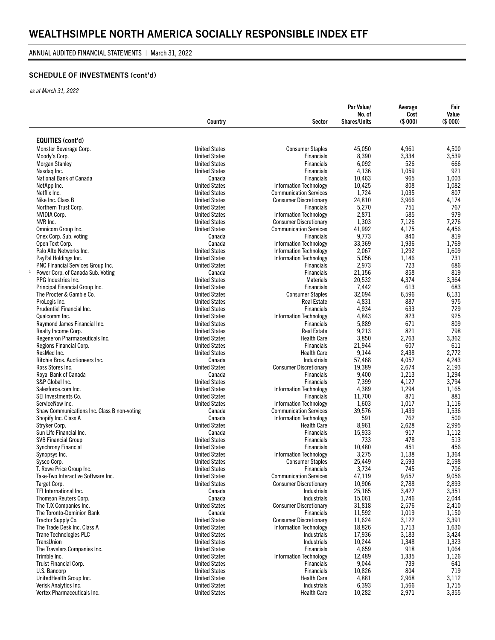#### ANNUAL AUDITED FINANCIAL STATEMENTS | March 31, 2022

## SCHEDULE OF INVESTMENTS (cont'd)

*as at March 31, 2022*

|                                                          | Country                                      | Sector                                 | Par Value/<br>No. of<br><b>Shares/Units</b> | Average<br>Cost<br>(\$000) | Fair<br>Value<br>(\$000) |
|----------------------------------------------------------|----------------------------------------------|----------------------------------------|---------------------------------------------|----------------------------|--------------------------|
|                                                          |                                              |                                        |                                             |                            |                          |
| <b>EQUITIES (cont'd)</b>                                 |                                              |                                        |                                             |                            |                          |
| Monster Beverage Corp.                                   | <b>United States</b>                         | <b>Consumer Staples</b>                | 45,050                                      | 4,961                      | 4,500                    |
| Moody's Corp.                                            | <b>United States</b>                         | <b>Financials</b>                      | 8,390                                       | 3,334<br>526               | 3,539                    |
| <b>Morgan Stanley</b><br>Nasdag Inc.                     | <b>United States</b><br><b>United States</b> | <b>Financials</b><br><b>Financials</b> | 6,092<br>4,136                              | 1,059                      | 666<br>921               |
| National Bank of Canada                                  | Canada                                       | <b>Financials</b>                      | 10,463                                      | 965                        | 1,003                    |
| NetApp Inc.                                              | <b>United States</b>                         | <b>Information Technology</b>          | 10,425                                      | 808                        | 1,082                    |
| Netflix Inc.                                             | <b>United States</b>                         | <b>Communication Services</b>          | 1,724                                       | 1,035                      | 807                      |
| Nike Inc. Class B                                        | <b>United States</b>                         | <b>Consumer Discretionary</b>          | 24,810                                      | 3,966                      | 4,174                    |
| Northern Trust Corp.                                     | <b>United States</b>                         | <b>Financials</b>                      | 5,270                                       | 751                        | 767                      |
| NVIDIA Corp.                                             | <b>United States</b>                         | <b>Information Technology</b>          | 2,871                                       | 585                        | 979                      |
| NVR Inc.                                                 | <b>United States</b>                         | <b>Consumer Discretionary</b>          | 1,303                                       | 7,126                      | 7,276                    |
| Omnicom Group Inc.                                       | <b>United States</b>                         | <b>Communication Services</b>          | 41,992                                      | 4,175                      | 4,456                    |
| Onex Corp. Sub. voting                                   | Canada                                       | <b>Financials</b>                      | 9,773                                       | 840                        | 819                      |
| Open Text Corp.                                          | Canada                                       | <b>Information Technology</b>          | 33,369                                      | 1,936                      | 1,769                    |
| Palo Alto Networks Inc.                                  | <b>United States</b>                         | <b>Information Technology</b>          | 2,067                                       | 1,292                      | 1,609                    |
| PayPal Holdings Inc.                                     | <b>United States</b>                         | <b>Information Technology</b>          | 5,056                                       | 1,146                      | 731                      |
| <b>PNC Financial Services Group Inc.</b><br>$\mathbf{1}$ | <b>United States</b>                         | <b>Financials</b>                      | 2,973                                       | 723<br>858                 | 686<br>819               |
| Power Corp. of Canada Sub. Voting<br>PPG Industries Inc. | Canada<br><b>United States</b>               | <b>Financials</b><br><b>Materials</b>  | 21,156<br>20,532                            | 4,374                      | 3,364                    |
| Principal Financial Group Inc.                           | <b>United States</b>                         | <b>Financials</b>                      | 7,442                                       | 613                        | 683                      |
| The Procter & Gamble Co.                                 | <b>United States</b>                         | <b>Consumer Staples</b>                | 32,094                                      | 6,596                      | 6,131                    |
| ProLogis Inc.                                            | <b>United States</b>                         | <b>Real Estate</b>                     | 4,831                                       | 887                        | 975                      |
| <b>Prudential Financial Inc.</b>                         | <b>United States</b>                         | <b>Financials</b>                      | 4,934                                       | 633                        | 729                      |
| Qualcomm Inc.                                            | <b>United States</b>                         | <b>Information Technology</b>          | 4,843                                       | 823                        | 925                      |
| Raymond James Financial Inc.                             | <b>United States</b>                         | <b>Financials</b>                      | 5,889                                       | 671                        | 809                      |
| Realty Income Corp.                                      | <b>United States</b>                         | <b>Real Estate</b>                     | 9,213                                       | 821                        | 798                      |
| Regeneron Pharmaceuticals Inc.                           | <b>United States</b>                         | <b>Health Care</b>                     | 3,850                                       | 2,763                      | 3,362                    |
| Regions Financial Corp.                                  | <b>United States</b>                         | <b>Financials</b>                      | 21,944                                      | 607                        | 611                      |
| ResMed Inc.                                              | <b>United States</b>                         | <b>Health Care</b>                     | 9,144                                       | 2,438                      | 2,772                    |
| Ritchie Bros. Auctioneers Inc.                           | Canada                                       | <b>Industrials</b>                     | 57,468                                      | 4,057                      | 4,243                    |
| Ross Stores Inc.                                         | <b>United States</b>                         | <b>Consumer Discretionary</b>          | 19,389                                      | 2,674                      | 2,193                    |
| Royal Bank of Canada<br>S&P Global Inc.                  | Canada<br><b>United States</b>               | <b>Financials</b><br><b>Financials</b> | 9,400                                       | 1,213                      | 1,294<br>3,794           |
| Salesforce.com Inc.                                      | <b>United States</b>                         | <b>Information Technology</b>          | 7,399<br>4,389                              | 4,127<br>1,294             | 1,165                    |
| SEI Investments Co.                                      | <b>United States</b>                         | Financials                             | 11,700                                      | 871                        | 881                      |
| ServiceNow Inc.                                          | <b>United States</b>                         | <b>Information Technology</b>          | 1,603                                       | 1,017                      | 1,116                    |
| Shaw Communications Inc. Class B non-voting              | Canada                                       | <b>Communication Services</b>          | 39,576                                      | 1,439                      | 1,536                    |
| Shopify Inc. Class A                                     | Canada                                       | <b>Information Technology</b>          | 591                                         | 762                        | 500                      |
| Stryker Corp.                                            | <b>United States</b>                         | <b>Health Care</b>                     | 8,961                                       | 2,628                      | 2,995                    |
| Sun Life Financial Inc.                                  | Canada                                       | <b>Financials</b>                      | 15,933                                      | 917                        | 1,112                    |
| <b>SVB Financial Group</b>                               | <b>United States</b>                         | Financials                             | 733                                         | 478                        | 513                      |
| <b>Synchrony Financial</b>                               | <b>United States</b>                         | <b>Financials</b>                      | 10,480                                      | 451                        | 456                      |
| Synopsys Inc.                                            | <b>United States</b>                         | <b>Information Technology</b>          | 3,275                                       | 1,138                      | 1,364                    |
| Sysco Corp.                                              | <b>United States</b>                         | <b>Consumer Staples</b>                | 25,449                                      | 2,593                      | 2,598                    |
| T. Rowe Price Group Inc.                                 | <b>United States</b>                         | Financials                             | 3,734                                       | 745                        | 706                      |
| Take-Two Interactive Software Inc.                       | <b>United States</b>                         | <b>Communication Services</b>          | 47,119                                      | 9,657                      | 9,056                    |
| Target Corp.<br>TFI International Inc.                   | <b>United States</b>                         | <b>Consumer Discretionary</b>          | 10,906                                      | 2,788                      | 2,893                    |
| Thomson Reuters Corp.                                    | Canada<br>Canada                             | <b>Industrials</b><br>Industrials      | 25,165<br>15,061                            | 3,427<br>1,746             | 3,351<br>2,044           |
| The TJX Companies Inc.                                   | <b>United States</b>                         | <b>Consumer Discretionary</b>          | 31,818                                      | 2,576                      | 2,410                    |
| The Toronto-Dominion Bank                                | Canada                                       | Financials                             | 11,592                                      | 1,019                      | 1,150                    |
| Tractor Supply Co.                                       | <b>United States</b>                         | <b>Consumer Discretionary</b>          | 11,624                                      | 3,122                      | 3,391                    |
| The Trade Desk Inc. Class A                              | <b>United States</b>                         | <b>Information Technology</b>          | 18,826                                      | 1,713                      | 1,630                    |
| <b>Trane Technologies PLC</b>                            | <b>United States</b>                         | Industrials                            | 17,936                                      | 3,183                      | 3,424                    |
| TransUnion                                               | <b>United States</b>                         | Industrials                            | 10,244                                      | 1,348                      | 1,323                    |
| The Travelers Companies Inc.                             | <b>United States</b>                         | <b>Financials</b>                      | 4,659                                       | 918                        | 1,064                    |
| Trimble Inc.                                             | <b>United States</b>                         | <b>Information Technology</b>          | 12,489                                      | 1,335                      | 1,126                    |
| Truist Financial Corp.                                   | <b>United States</b>                         | <b>Financials</b>                      | 9,044                                       | 739                        | 641                      |
| U.S. Bancorp                                             | <b>United States</b>                         | Financials                             | 10,826                                      | 804                        | 719                      |
| UnitedHealth Group Inc.                                  | <b>United States</b>                         | <b>Health Care</b>                     | 4,881                                       | 2,968                      | 3,112                    |
| Verisk Analytics Inc.                                    | <b>United States</b>                         | Industrials                            | 6,393                                       | 1,566                      | 1,715                    |
| Vertex Pharmaceuticals Inc.                              | <b>United States</b>                         | <b>Health Care</b>                     | 10,282                                      | 2,971                      | 3,355                    |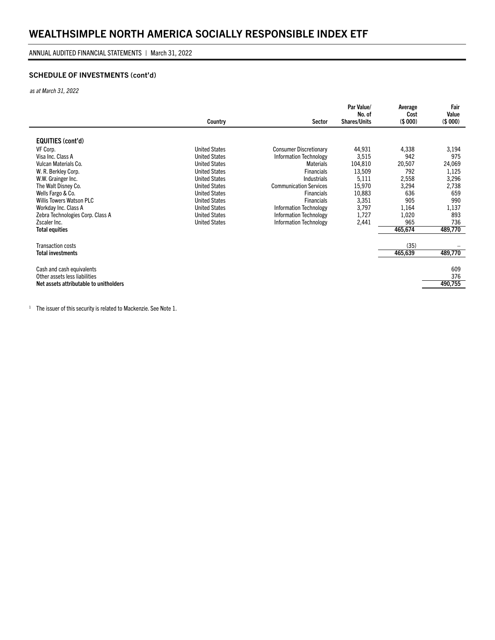#### ANNUAL AUDITED FINANCIAL STATEMENTS | March 31, 2022

## SCHEDULE OF INVESTMENTS (cont'd)

*as at March 31, 2022*

|                                        | Country              | Sector                        | Par Value/<br>No. of<br><b>Shares/Units</b> | Average<br>Cost<br>(\$000) | Fair<br>Value<br>(\$000) |
|----------------------------------------|----------------------|-------------------------------|---------------------------------------------|----------------------------|--------------------------|
|                                        |                      |                               |                                             |                            |                          |
| EQUITIES (cont'd)                      |                      |                               |                                             |                            |                          |
| VF Corp.                               | <b>United States</b> | <b>Consumer Discretionary</b> | 44,931                                      | 4,338                      | 3,194                    |
| Visa Inc. Class A                      | <b>United States</b> | <b>Information Technology</b> | 3,515                                       | 942                        | 975                      |
| Vulcan Materials Co.                   | <b>United States</b> | <b>Materials</b>              | 104,810                                     | 20,507                     | 24,069                   |
| W. R. Berkley Corp.                    | <b>United States</b> | <b>Financials</b>             | 13,509                                      | 792                        | 1,125                    |
| W.W. Grainger Inc.                     | <b>United States</b> | <b>Industrials</b>            | 5,111                                       | 2,558                      | 3,296                    |
| The Walt Disney Co.                    | <b>United States</b> | <b>Communication Services</b> | 15,970                                      | 3,294                      | 2,738                    |
| Wells Fargo & Co.                      | <b>United States</b> | <b>Financials</b>             | 10,883                                      | 636                        | 659                      |
| <b>Willis Towers Watson PLC</b>        | <b>United States</b> | <b>Financials</b>             | 3,351                                       | 905                        | 990                      |
| Workday Inc. Class A                   | <b>United States</b> | <b>Information Technology</b> | 3,797                                       | 1,164                      | 1,137                    |
| Zebra Technologies Corp. Class A       | <b>United States</b> | <b>Information Technology</b> | 1,727                                       | 1,020                      | 893                      |
| Zscaler Inc.                           | <b>United States</b> | <b>Information Technology</b> | 2,441                                       | 965                        | 736                      |
| <b>Total equities</b>                  |                      |                               |                                             | 465,674                    | 489,770                  |
| Transaction costs                      |                      |                               |                                             | (35)                       |                          |
| <b>Total investments</b>               |                      |                               |                                             | 465,639                    | 489,770                  |
| Cash and cash equivalents              |                      |                               |                                             |                            | 609                      |
| Other assets less liabilities          |                      |                               |                                             |                            | 376                      |
| Net assets attributable to unitholders |                      |                               |                                             |                            | 490,755                  |
|                                        |                      |                               |                                             |                            |                          |

<sup>1</sup> The issuer of this security is related to Mackenzie. See Note  $1$ .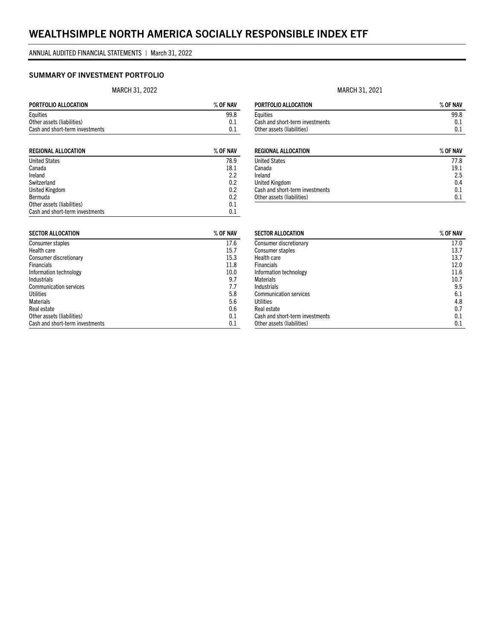### SUMMARY OF INVESTMENT PORTFOLIO

MARCH 31, 2022

| PORTFOLIO ALLOCATION            | $%$ OF NAV |
|---------------------------------|------------|
| Equities                        | 99.8       |
| Other assets (liabilities)      | 0.1        |
| Cash and short-term investments | 01         |

| <b>REGIONAL ALLOCATION</b>      | $%$ OF NAV |
|---------------------------------|------------|
| <b>United States</b>            | 78.9       |
| Canada                          | 18.1       |
| Ireland                         | 2.2        |
| Switzerland                     | 0.2        |
| United Kingdom                  | 0.2        |
| Bermuda                         | 0.2        |
| Other assets (liabilities)      | 0.1        |
| Cash and short-term investments | 0.1        |

| <b>SECTOR ALLOCATION</b>        | $%$ OF NAV |
|---------------------------------|------------|
| Consumer staples                | 17.6       |
| Health care                     | 15.7       |
| Consumer discretionary          | 15.3       |
| <b>Financials</b>               | 11.8       |
| Information technology          | 10.0       |
| <b>Industrials</b>              | 9.7        |
| <b>Communication services</b>   | 7.7        |
| Utilities                       | 5.8        |
| <b>Materials</b>                | 5.6        |
| Real estate                     | 0.6        |
| Other assets (liabilities)      | 0.1        |
| Cash and short-term investments | 0.1        |

#### MARCH 31, 2021

| PORTFOLIO ALLOCATION            | $%$ OF NAV |
|---------------------------------|------------|
| Eauities                        | 99.8       |
| Cash and short-term investments | 0.1        |
| Other assets (liabilities)      | 01         |

| <b>REGIONAL ALLOCATION</b>      | $%$ OF NAV |
|---------------------------------|------------|
| <b>United States</b>            | 77.8       |
| Canada                          | 19.1       |
| Ireland                         | 2.5        |
| <b>United Kingdom</b>           | 0.4        |
| Cash and short-term investments | 0.1        |
| Other assets (liabilities)      | 0.1        |

| <b>SECTOR ALLOCATION</b>        | $%$ OF NAV |
|---------------------------------|------------|
| Consumer discretionary          | 17.0       |
| Consumer staples                | 13.7       |
| Health care                     | 13.7       |
| <b>Financials</b>               | 12.0       |
| Information technology          | 11.6       |
| <b>Materials</b>                | 10.7       |
| <b>Industrials</b>              | 9.5        |
| <b>Communication services</b>   | 6.1        |
| Utilities                       | 4.8        |
| Real estate                     | 0.7        |
| Cash and short-term investments | 0.1        |
| Other assets (liabilities)      | 0.1        |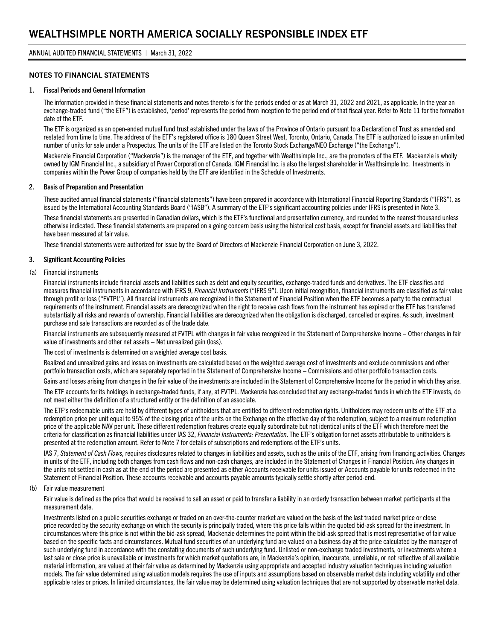#### NOTES TO FINANCIAL STATEMENTS

#### 1. Fiscal Periods and General Information

The information provided in these financial statements and notes thereto is for the periods ended or as at March 31, 2022 and 2021, as applicable. In the year an exchange-traded fund ("the ETF") is established, 'period' represents the period from inception to the period end of that fiscal year. Refer to Note 11 for the formation date of the ETF.

The ETF is organized as an open-ended mutual fund trust established under the laws of the Province of Ontario pursuant to a Declaration of Trust as amended and restated from time to time. The address of the ETF's registered office is 180 Queen Street West, Toronto, Ontario, Canada. The ETF is authorized to issue an unlimited number of units for sale under a Prospectus. The units of the ETF are listed on the Toronto Stock Exchange/NEO Exchange ("the Exchange").

Mackenzie Financial Corporation ("Mackenzie") is the manager of the ETF, and together with Wealthsimple Inc., are the promoters of the ETF. Mackenzie is wholly owned by IGM Financial Inc., a subsidiary of Power Corporation of Canada. IGM Financial Inc. is also the largest shareholder in Wealthsimple Inc. Investments in companies within the Power Group of companies held by the ETF are identified in the Schedule of Investments.

#### 2. Basis of Preparation and Presentation

These audited annual financial statements ("financial statements") have been prepared in accordance with International Financial Reporting Standards ("IFRS"), as issued by the International Accounting Standards Board ("IASB"). A summary of the ETF's significant accounting policies under IFRS is presented in Note 3.

These financial statements are presented in Canadian dollars, which is the ETF's functional and presentation currency, and rounded to the nearest thousand unless otherwise indicated. These financial statements are prepared on a going concern basis using the historical cost basis, except for financial assets and liabilities that have been measured at fair value.

These financial statements were authorized for issue by the Board of Directors of Mackenzie Financial Corporation on June 3, 2022.

#### 3. Significant Accounting Policies

#### (a) Financial instruments

Financial instruments include financial assets and liabilities such as debt and equity securities, exchange-traded funds and derivatives. The ETF classifies and measures financial instruments in accordance with IFRS 9, *Financial Instruments* ("IFRS 9"). Upon initial recognition, financial instruments are classified as fair value through profit or loss ("FVTPL"). All financial instruments are recognized in the Statement of Financial Position when the ETF becomes a party to the contractual requirements of the instrument. Financial assets are derecognized when the right to receive cash flows from the instrument has expired or the ETF has transferred substantially all risks and rewards of ownership. Financial liabilities are derecognized when the obligation is discharged, cancelled or expires. As such, investment purchase and sale transactions are recorded as of the trade date.

Financial instruments are subsequently measured at FVTPL with changes in fair value recognized in the Statement of Comprehensive Income – Other changes in fair value of investments and other net assets – Net unrealized gain (loss).

The cost of investments is determined on a weighted average cost basis.

Realized and unrealized gains and losses on investments are calculated based on the weighted average cost of investments and exclude commissions and other portfolio transaction costs, which are separately reported in the Statement of Comprehensive Income – Commissions and other portfolio transaction costs.

Gains and losses arising from changes in the fair value of the investments are included in the Statement of Comprehensive Income for the period in which they arise.

The ETF accounts for its holdings in exchange-traded funds, if any, at FVTPL. Mackenzie has concluded that any exchange-traded funds in which the ETF invests, do not meet either the definition of a structured entity or the definition of an associate.

The ETF's redeemable units are held by different types of unitholders that are entitled to different redemption rights. Unitholders may redeem units of the ETF at a redemption price per unit equal to 95% of the closing price of the units on the Exchange on the effective day of the redemption, subject to a maximum redemption price of the applicable NAV per unit. These different redemption features create equally subordinate but not identical units of the ETF which therefore meet the criteria for classification as financial liabilities under IAS 32, *Financial Instruments: Presentation*. The ETF's obligation for net assets attributable to unitholders is presented at the redemption amount. Refer to Note 7 for details of subscriptions and redemptions of the ETF's units.

IAS 7, *Statement of Cash Flows*, requires disclosures related to changes in liabilities and assets, such as the units of the ETF, arising from financing activities. Changes in units of the ETF, including both changes from cash flows and non-cash changes, are included in the Statement of Changes in Financial Position. Any changes in the units not settled in cash as at the end of the period are presented as either Accounts receivable for units issued or Accounts payable for units redeemed in the Statement of Financial Position. These accounts receivable and accounts payable amounts typically settle shortly after period-end.

(b) Fair value measurement

Fair value is defined as the price that would be received to sell an asset or paid to transfer a liability in an orderly transaction between market participants at the measurement date.

Investments listed on a public securities exchange or traded on an over-the-counter market are valued on the basis of the last traded market price or close price recorded by the security exchange on which the security is principally traded, where this price falls within the quoted bid-ask spread for the investment. In circumstances where this price is not within the bid-ask spread, Mackenzie determines the point within the bid-ask spread that is most representative of fair value based on the specific facts and circumstances. Mutual fund securities of an underlying fund are valued on a business day at the price calculated by the manager of such underlying fund in accordance with the constating documents of such underlying fund. Unlisted or non-exchange traded investments, or investments where a last sale or close price is unavailable or investments for which market quotations are, in Mackenzie's opinion, inaccurate, unreliable, or not reflective of all available material information, are valued at their fair value as determined by Mackenzie using appropriate and accepted industry valuation techniques including valuation models. The fair value determined using valuation models requires the use of inputs and assumptions based on observable market data including volatility and other applicable rates or prices. In limited circumstances, the fair value may be determined using valuation techniques that are not supported by observable market data.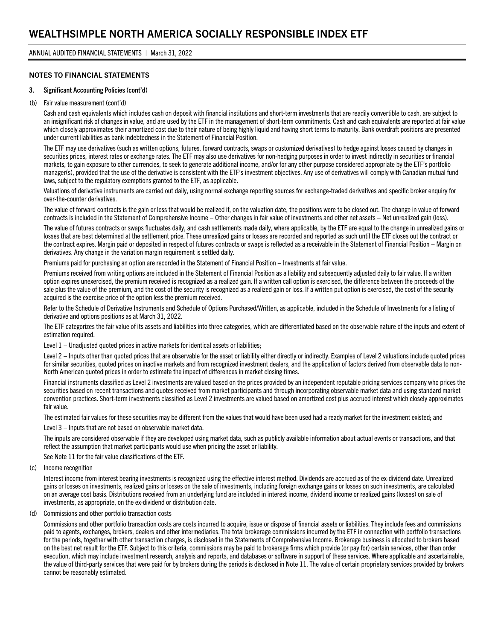#### NOTES TO FINANCIAL STATEMENTS

#### 3. Significant Accounting Policies (cont'd)

#### (b) Fair value measurement (cont'd)

Cash and cash equivalents which includes cash on deposit with financial institutions and short-term investments that are readily convertible to cash, are subject to an insignificant risk of changes in value, and are used by the ETF in the management of short-term commitments. Cash and cash equivalents are reported at fair value which closely approximates their amortized cost due to their nature of being highly liquid and having short terms to maturity. Bank overdraft positions are presented under current liabilities as bank indebtedness in the Statement of Financial Position.

The ETF may use derivatives (such as written options, futures, forward contracts, swaps or customized derivatives) to hedge against losses caused by changes in securities prices, interest rates or exchange rates. The ETF may also use derivatives for non-hedging purposes in order to invest indirectly in securities or financial markets, to gain exposure to other currencies, to seek to generate additional income, and/or for any other purpose considered appropriate by the ETF's portfolio manager(s), provided that the use of the derivative is consistent with the ETF's investment objectives. Any use of derivatives will comply with Canadian mutual fund laws, subject to the regulatory exemptions granted to the ETF, as applicable.

Valuations of derivative instruments are carried out daily, using normal exchange reporting sources for exchange-traded derivatives and specific broker enquiry for over-the-counter derivatives.

The value of forward contracts is the gain or loss that would be realized if, on the valuation date, the positions were to be closed out. The change in value of forward contracts is included in the Statement of Comprehensive Income – Other changes in fair value of investments and other net assets – Net unrealized gain (loss).

The value of futures contracts or swaps fluctuates daily, and cash settlements made daily, where applicable, by the ETF are equal to the change in unrealized gains or losses that are best determined at the settlement price. These unrealized gains or losses are recorded and reported as such until the ETF closes out the contract or the contract expires. Margin paid or deposited in respect of futures contracts or swaps is reflected as a receivable in the Statement of Financial Position – Margin on derivatives. Any change in the variation margin requirement is settled daily.

Premiums paid for purchasing an option are recorded in the Statement of Financial Position – Investments at fair value.

Premiums received from writing options are included in the Statement of Financial Position as a liability and subsequently adjusted daily to fair value. If a written option expires unexercised, the premium received is recognized as a realized gain. If a written call option is exercised, the difference between the proceeds of the sale plus the value of the premium, and the cost of the security is recognized as a realized gain or loss. If a written put option is exercised, the cost of the security acquired is the exercise price of the option less the premium received.

Refer to the Schedule of Derivative Instruments and Schedule of Options Purchased/Written, as applicable, included in the Schedule of Investments for a listing of derivative and options positions as at March 31, 2022.

The ETF categorizes the fair value of its assets and liabilities into three categories, which are differentiated based on the observable nature of the inputs and extent of estimation required.

Level 1 – Unadjusted quoted prices in active markets for identical assets or liabilities;

Level 2 - Inputs other than quoted prices that are observable for the asset or liability either directly or indirectly. Examples of Level 2 valuations include quoted prices for similar securities, quoted prices on inactive markets and from recognized investment dealers, and the application of factors derived from observable data to non-North American quoted prices in order to estimate the impact of differences in market closing times.

Financial instruments classified as Level 2 investments are valued based on the prices provided by an independent reputable pricing services company who prices the securities based on recent transactions and quotes received from market participants and through incorporating observable market data and using standard market convention practices. Short-term investments classified as Level 2 investments are valued based on amortized cost plus accrued interest which closely approximates fair value.

The estimated fair values for these securities may be different from the values that would have been used had a ready market for the investment existed; and

Level 3 – Inputs that are not based on observable market data.

The inputs are considered observable if they are developed using market data, such as publicly available information about actual events or transactions, and that reflect the assumption that market participants would use when pricing the asset or liability.

See Note 11 for the fair value classifications of the ETF.

(c) Income recognition

Interest income from interest bearing investments is recognized using the effective interest method. Dividends are accrued as of the ex-dividend date. Unrealized gains or losses on investments, realized gains or losses on the sale of investments, including foreign exchange gains or losses on such investments, are calculated on an average cost basis. Distributions received from an underlying fund are included in interest income, dividend income or realized gains (losses) on sale of investments, as appropriate, on the ex-dividend or distribution date.

(d) Commissions and other portfolio transaction costs

Commissions and other portfolio transaction costs are costs incurred to acquire, issue or dispose of financial assets or liabilities. They include fees and commissions paid to agents, exchanges, brokers, dealers and other intermediaries. The total brokerage commissions incurred by the ETF in connection with portfolio transactions for the periods, together with other transaction charges, is disclosed in the Statements of Comprehensive Income. Brokerage business is allocated to brokers based on the best net result for the ETF. Subject to this criteria, commissions may be paid to brokerage firms which provide (or pay for) certain services, other than order execution, which may include investment research, analysis and reports, and databases or software in support of these services. Where applicable and ascertainable, the value of third-party services that were paid for by brokers during the periods is disclosed in Note 11. The value of certain proprietary services provided by brokers cannot be reasonably estimated.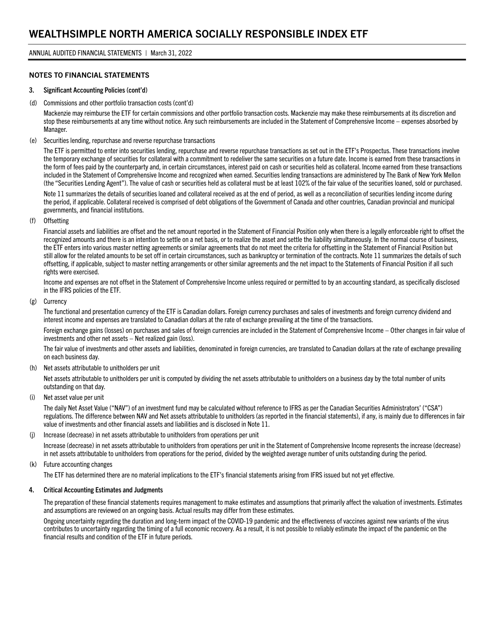#### NOTES TO FINANCIAL STATEMENTS

#### 3. Significant Accounting Policies (cont'd)

(d) Commissions and other portfolio transaction costs (cont'd)

Mackenzie may reimburse the ETF for certain commissions and other portfolio transaction costs. Mackenzie may make these reimbursements at its discretion and stop these reimbursements at any time without notice. Any such reimbursements are included in the Statement of Comprehensive Income – expenses absorbed by Manager.

(e) Securities lending, repurchase and reverse repurchase transactions

The ETF is permitted to enter into securities lending, repurchase and reverse repurchase transactions as set out in the ETF's Prospectus. These transactions involve the temporary exchange of securities for collateral with a commitment to redeliver the same securities on a future date. Income is earned from these transactions in the form of fees paid by the counterparty and, in certain circumstances, interest paid on cash or securities held as collateral. Income earned from these transactions included in the Statement of Comprehensive Income and recognized when earned. Securities lending transactions are administered by The Bank of New York Mellon (the "Securities Lending Agent"). The value of cash or securities held as collateral must be at least 102% of the fair value of the securities loaned, sold or purchased.

Note 11 summarizes the details of securities loaned and collateral received as at the end of period, as well as a reconciliation of securities lending income during the period, if applicable. Collateral received is comprised of debt obligations of the Government of Canada and other countries, Canadian provincial and municipal governments, and financial institutions.

(f) Offsetting

Financial assets and liabilities are offset and the net amount reported in the Statement of Financial Position only when there is a legally enforceable right to offset the recognized amounts and there is an intention to settle on a net basis, or to realize the asset and settle the liability simultaneously. In the normal course of business, the ETF enters into various master netting agreements or similar agreements that do not meet the criteria for offsetting in the Statement of Financial Position but still allow for the related amounts to be set off in certain circumstances, such as bankruptcy or termination of the contracts. Note 11 summarizes the details of such offsetting, if applicable, subject to master netting arrangements or other similar agreements and the net impact to the Statements of Financial Position if all such rights were exercised.

Income and expenses are not offset in the Statement of Comprehensive Income unless required or permitted to by an accounting standard, as specifically disclosed in the IFRS policies of the ETF.

(g) Currency

The functional and presentation currency of the ETF is Canadian dollars. Foreign currency purchases and sales of investments and foreign currency dividend and interest income and expenses are translated to Canadian dollars at the rate of exchange prevailing at the time of the transactions.

Foreign exchange gains (losses) on purchases and sales of foreign currencies are included in the Statement of Comprehensive Income – Other changes in fair value of investments and other net assets – Net realized gain (loss).

The fair value of investments and other assets and liabilities, denominated in foreign currencies, are translated to Canadian dollars at the rate of exchange prevailing on each business day.

(h) Net assets attributable to unitholders per unit

Net assets attributable to unitholders per unit is computed by dividing the net assets attributable to unitholders on a business day by the total number of units outstanding on that day.

(i) Net asset value per unit

The daily Net Asset Value ("NAV") of an investment fund may be calculated without reference to IFRS as per the Canadian Securities Administrators' ("CSA") regulations. The difference between NAV and Net assets attributable to unitholders (as reported in the financial statements), if any, is mainly due to differences in fair value of investments and other financial assets and liabilities and is disclosed in Note 11.

(j) Increase (decrease) in net assets attributable to unitholders from operations per unit

Increase (decrease) in net assets attributable to unitholders from operations per unit in the Statement of Comprehensive Income represents the increase (decrease) in net assets attributable to unitholders from operations for the period, divided by the weighted average number of units outstanding during the period.

(k) Future accounting changes

The ETF has determined there are no material implications to the ETF's financial statements arising from IFRS issued but not yet effective.

#### 4. Critical Accounting Estimates and Judgments

The preparation of these financial statements requires management to make estimates and assumptions that primarily affect the valuation of investments. Estimates and assumptions are reviewed on an ongoing basis. Actual results may differ from these estimates.

Ongoing uncertainty regarding the duration and long-term impact of the COVID-19 pandemic and the effectiveness of vaccines against new variants of the virus contributes to uncertainty regarding the timing of a full economic recovery. As a result, it is not possible to reliably estimate the impact of the pandemic on the financial results and condition of the ETF in future periods.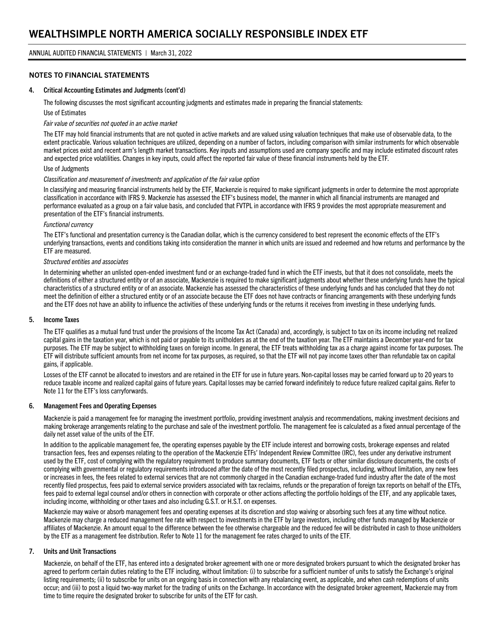#### NOTES TO FINANCIAL STATEMENTS

#### 4. Critical Accounting Estimates and Judgments (cont'd)

The following discusses the most significant accounting judgments and estimates made in preparing the financial statements:

Use of Estimates

#### *Fair value of securities not quoted in an active market*

The ETF may hold financial instruments that are not quoted in active markets and are valued using valuation techniques that make use of observable data, to the extent practicable. Various valuation techniques are utilized, depending on a number of factors, including comparison with similar instruments for which observable market prices exist and recent arm's length market transactions. Key inputs and assumptions used are company specific and may include estimated discount rates and expected price volatilities. Changes in key inputs, could affect the reported fair value of these financial instruments held by the ETF.

#### Use of Judgments

#### *Classification and measurement of investments and application of the fair value option*

In classifying and measuring financial instruments held by the ETF, Mackenzie is required to make significant judgments in order to determine the most appropriate classification in accordance with IFRS 9. Mackenzie has assessed the ETF's business model, the manner in which all financial instruments are managed and performance evaluated as a group on a fair value basis, and concluded that FVTPL in accordance with IFRS 9 provides the most appropriate measurement and presentation of the ETF's financial instruments.

#### *Functional currency*

The ETF's functional and presentation currency is the Canadian dollar, which is the currency considered to best represent the economic effects of the ETF's underlying transactions, events and conditions taking into consideration the manner in which units are issued and redeemed and how returns and performance by the ETF are measured.

#### *Structured entities and associates*

In determining whether an unlisted open-ended investment fund or an exchange-traded fund in which the ETF invests, but that it does not consolidate, meets the definitions of either a structured entity or of an associate, Mackenzie is required to make significant judgments about whether these underlying funds have the typical characteristics of a structured entity or of an associate. Mackenzie has assessed the characteristics of these underlying funds and has concluded that they do not meet the definition of either a structured entity or of an associate because the ETF does not have contracts or financing arrangements with these underlying funds and the ETF does not have an ability to influence the activities of these underlying funds or the returns it receives from investing in these underlying funds.

#### 5. Income Taxes

The ETF qualifies as a mutual fund trust under the provisions of the Income Tax Act (Canada) and, accordingly, is subject to tax on its income including net realized capital gains in the taxation year, which is not paid or payable to its unitholders as at the end of the taxation year. The ETF maintains a December year-end for tax purposes. The ETF may be subject to withholding taxes on foreign income. In general, the ETF treats withholding tax as a charge against income for tax purposes. The ETF will distribute sufficient amounts from net income for tax purposes, as required, so that the ETF will not pay income taxes other than refundable tax on capital gains, if applicable.

Losses of the ETF cannot be allocated to investors and are retained in the ETF for use in future years. Non-capital losses may be carried forward up to 20 years to reduce taxable income and realized capital gains of future years. Capital losses may be carried forward indefinitely to reduce future realized capital gains. Refer to Note 11 for the ETF's loss carryforwards.

#### 6. Management Fees and Operating Expenses

Mackenzie is paid a management fee for managing the investment portfolio, providing investment analysis and recommendations, making investment decisions and making brokerage arrangements relating to the purchase and sale of the investment portfolio. The management fee is calculated as a fixed annual percentage of the daily net asset value of the units of the ETF.

In addition to the applicable management fee, the operating expenses payable by the ETF include interest and borrowing costs, brokerage expenses and related transaction fees, fees and expenses relating to the operation of the Mackenzie ETFs' Independent Review Committee (IRC), fees under any derivative instrument used by the ETF, cost of complying with the regulatory requirement to produce summary documents, ETF facts or other similar disclosure documents, the costs of complying with governmental or regulatory requirements introduced after the date of the most recently filed prospectus, including, without limitation, any new fees or increases in fees, the fees related to external services that are not commonly charged in the Canadian exchange-traded fund industry after the date of the most recently filed prospectus, fees paid to external service providers associated with tax reclaims, refunds or the preparation of foreign tax reports on behalf of the ETFs, fees paid to external legal counsel and/or others in connection with corporate or other actions affecting the portfolio holdings of the ETF, and any applicable taxes, including income, withholding or other taxes and also including G.S.T. or H.S.T. on expenses.

Mackenzie may waive or absorb management fees and operating expenses at its discretion and stop waiving or absorbing such fees at any time without notice. Mackenzie may charge a reduced management fee rate with respect to investments in the ETF by large investors, including other funds managed by Mackenzie or affiliates of Mackenzie. An amount equal to the difference between the fee otherwise chargeable and the reduced fee will be distributed in cash to those unitholders by the ETF as a management fee distribution. Refer to Note 11 for the management fee rates charged to units of the ETF.

#### 7. Units and Unit Transactions

Mackenzie, on behalf of the ETF, has entered into a designated broker agreement with one or more designated brokers pursuant to which the designated broker has agreed to perform certain duties relating to the ETF including, without limitation: (i) to subscribe for a sufficient number of units to satisfy the Exchange's original listing requirements; (ii) to subscribe for units on an ongoing basis in connection with any rebalancing event, as applicable, and when cash redemptions of units occur; and (iii) to post a liquid two-way market for the trading of units on the Exchange. In accordance with the designated broker agreement, Mackenzie may from time to time require the designated broker to subscribe for units of the ETF for cash.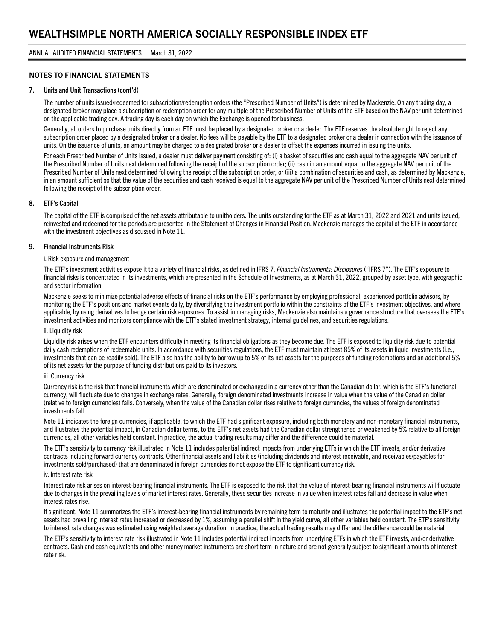#### NOTES TO FINANCIAL STATEMENTS

#### 7. Units and Unit Transactions (cont'd)

The number of units issued/redeemed for subscription/redemption orders (the "Prescribed Number of Units") is determined by Mackenzie. On any trading day, a designated broker may place a subscription or redemption order for any multiple of the Prescribed Number of Units of the ETF based on the NAV per unit determined on the applicable trading day. A trading day is each day on which the Exchange is opened for business.

Generally, all orders to purchase units directly from an ETF must be placed by a designated broker or a dealer. The ETF reserves the absolute right to reject any subscription order placed by a designated broker or a dealer. No fees will be payable by the ETF to a designated broker or a dealer in connection with the issuance of units. On the issuance of units, an amount may be charged to a designated broker or a dealer to offset the expenses incurred in issuing the units.

For each Prescribed Number of Units issued, a dealer must deliver payment consisting of: (i) a basket of securities and cash equal to the aggregate NAV per unit of the Prescribed Number of Units next determined following the receipt of the subscription order; (ii) cash in an amount equal to the aggregate NAV per unit of the Prescribed Number of Units next determined following the receipt of the subscription order; or (iii) a combination of securities and cash, as determined by Mackenzie, in an amount sufficient so that the value of the securities and cash received is equal to the aggregate NAV per unit of the Prescribed Number of Units next determined following the receipt of the subscription order.

#### 8. ETF's Capital

The capital of the ETF is comprised of the net assets attributable to unitholders. The units outstanding for the ETF as at March 31, 2022 and 2021 and units issued, reinvested and redeemed for the periods are presented in the Statement of Changes in Financial Position. Mackenzie manages the capital of the ETF in accordance with the investment objectives as discussed in Note 11.

#### 9. Financial Instruments Risk

#### i. Risk exposure and management

The ETF's investment activities expose it to a variety of financial risks, as defined in IFRS 7, *Financial Instruments: Disclosures* ("IFRS 7"). The ETF's exposure to financial risks is concentrated in its investments, which are presented in the Schedule of Investments, as at March 31, 2022, grouped by asset type, with geographic and sector information.

Mackenzie seeks to minimize potential adverse effects of financial risks on the ETF's performance by employing professional, experienced portfolio advisors, by monitoring the ETF's positions and market events daily, by diversifying the investment portfolio within the constraints of the ETF's investment objectives, and where applicable, by using derivatives to hedge certain risk exposures. To assist in managing risks, Mackenzie also maintains a governance structure that oversees the ETF's investment activities and monitors compliance with the ETF's stated investment strategy, internal guidelines, and securities regulations.

#### ii. Liquidity risk

Liquidity risk arises when the ETF encounters difficulty in meeting its financial obligations as they become due. The ETF is exposed to liquidity risk due to potential daily cash redemptions of redeemable units. In accordance with securities regulations, the ETF must maintain at least 85% of its assets in liquid investments (i.e., investments that can be readily sold). The ETF also has the ability to borrow up to 5% of its net assets for the purposes of funding redemptions and an additional 5% of its net assets for the purpose of funding distributions paid to its investors.

#### iii. Currency risk

Currency risk is the risk that financial instruments which are denominated or exchanged in a currency other than the Canadian dollar, which is the ETF's functional currency, will fluctuate due to changes in exchange rates. Generally, foreign denominated investments increase in value when the value of the Canadian dollar (relative to foreign currencies) falls. Conversely, when the value of the Canadian dollar rises relative to foreign currencies, the values of foreign denominated investments fall.

Note 11 indicates the foreign currencies, if applicable, to which the ETF had significant exposure, including both monetary and non-monetary financial instruments, and illustrates the potential impact, in Canadian dollar terms, to the ETF's net assets had the Canadian dollar strengthened or weakened by 5% relative to all foreign currencies, all other variables held constant. In practice, the actual trading results may differ and the difference could be material.

The ETF's sensitivity to currency risk illustrated in Note 11 includes potential indirect impacts from underlying ETFs in which the ETF invests, and/or derivative contracts including forward currency contracts. Other financial assets and liabilities (including dividends and interest receivable, and receivables/payables for investments sold/purchased) that are denominated in foreign currencies do not expose the ETF to significant currency risk.

#### iv. Interest rate risk

Interest rate risk arises on interest-bearing financial instruments. The ETF is exposed to the risk that the value of interest-bearing financial instruments will fluctuate due to changes in the prevailing levels of market interest rates. Generally, these securities increase in value when interest rates fall and decrease in value when interest rates rise.

If significant, Note 11 summarizes the ETF's interest-bearing financial instruments by remaining term to maturity and illustrates the potential impact to the ETF's net assets had prevailing interest rates increased or decreased by 1%, assuming a parallel shift in the yield curve, all other variables held constant. The ETF's sensitivity to interest rate changes was estimated using weighted average duration. In practice, the actual trading results may differ and the difference could be material.

The ETF's sensitivity to interest rate risk illustrated in Note 11 includes potential indirect impacts from underlying ETFs in which the ETF invests, and/or derivative contracts. Cash and cash equivalents and other money market instruments are short term in nature and are not generally subject to significant amounts of interest rate risk.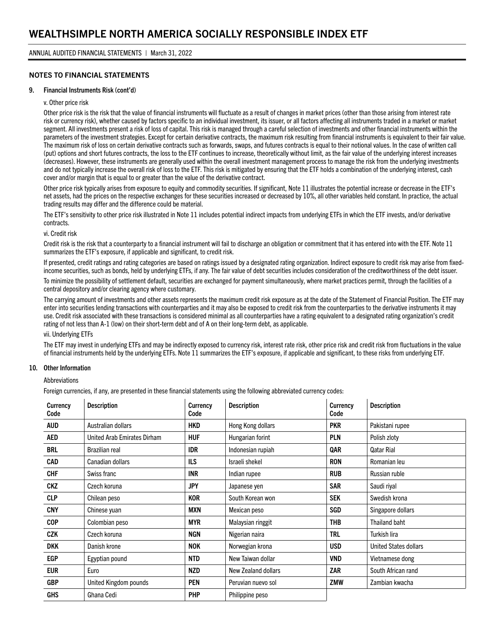#### NOTES TO FINANCIAL STATEMENTS

#### 9. Financial Instruments Risk (cont'd)

#### v. Other price risk

Other price risk is the risk that the value of financial instruments will fluctuate as a result of changes in market prices (other than those arising from interest rate risk or currency risk), whether caused by factors specific to an individual investment, its issuer, or all factors affecting all instruments traded in a market or market segment. All investments present a risk of loss of capital. This risk is managed through a careful selection of investments and other financial instruments within the parameters of the investment strategies. Except for certain derivative contracts, the maximum risk resulting from financial instruments is equivalent to their fair value. The maximum risk of loss on certain derivative contracts such as forwards, swaps, and futures contracts is equal to their notional values. In the case of written call (put) options and short futures contracts, the loss to the ETF continues to increase, theoretically without limit, as the fair value of the underlying interest increases (decreases). However, these instruments are generally used within the overall investment management process to manage the risk from the underlying investments and do not typically increase the overall risk of loss to the ETF. This risk is mitigated by ensuring that the ETF holds a combination of the underlying interest, cash cover and/or margin that is equal to or greater than the value of the derivative contract.

Other price risk typically arises from exposure to equity and commodity securities. If significant, Note 11 illustrates the potential increase or decrease in the ETF's net assets, had the prices on the respective exchanges for these securities increased or decreased by 10%, all other variables held constant. In practice, the actual trading results may differ and the difference could be material.

The ETF's sensitivity to other price risk illustrated in Note 11 includes potential indirect impacts from underlying ETFs in which the ETF invests, and/or derivative contracts.

#### vi. Credit risk

Credit risk is the risk that a counterparty to a financial instrument will fail to discharge an obligation or commitment that it has entered into with the ETF. Note 11 summarizes the ETF's exposure, if applicable and significant, to credit risk.

If presented, credit ratings and rating categories are based on ratings issued by a designated rating organization. Indirect exposure to credit risk may arise from fixedincome securities, such as bonds, held by underlying ETFs, if any. The fair value of debt securities includes consideration of the creditworthiness of the debt issuer.

To minimize the possibility of settlement default, securities are exchanged for payment simultaneously, where market practices permit, through the facilities of a central depository and/or clearing agency where customary.

The carrying amount of investments and other assets represents the maximum credit risk exposure as at the date of the Statement of Financial Position. The ETF may enter into securities lending transactions with counterparties and it may also be exposed to credit risk from the counterparties to the derivative instruments it may use. Credit risk associated with these transactions is considered minimal as all counterparties have a rating equivalent to a designated rating organization's credit rating of not less than A-1 (low) on their short-term debt and of A on their long-term debt, as applicable.

#### vii. Underlying ETFs

The ETF may invest in underlying ETFs and may be indirectly exposed to currency risk, interest rate risk, other price risk and credit risk from fluctuations in the value of financial instruments held by the underlying ETFs. Note 11 summarizes the ETF's exposure, if applicable and significant, to these risks from underlying ETF.

#### 10. Other Information

#### **Abbreviations**

Foreign currencies, if any, are presented in these financial statements using the following abbreviated currency codes:

| Currency<br>Code | <b>Description</b>          | Currency<br>Code | <b>Description</b><br><b>Currency</b><br>Code |            | <b>Description</b>           |
|------------------|-----------------------------|------------------|-----------------------------------------------|------------|------------------------------|
| <b>AUD</b>       | Australian dollars          | <b>HKD</b>       | Hong Kong dollars                             | <b>PKR</b> | Pakistani rupee              |
| AED              | United Arab Emirates Dirham | <b>HUF</b>       | Hungarian forint                              | <b>PLN</b> | Polish zloty                 |
| BRL              | Brazilian real              | <b>IDR</b>       | Indonesian rupiah                             | QAR        | <b>Qatar Rial</b>            |
| <b>CAD</b>       | Canadian dollars            | ILS              | Israeli shekel                                | <b>RON</b> | Romanian leu                 |
| <b>CHF</b>       | Swiss franc                 | <b>INR</b>       | Indian rupee                                  | <b>RUB</b> | Russian ruble                |
| <b>CKZ</b>       | Czech koruna                | <b>JPY</b>       | Japanese yen                                  | <b>SAR</b> | Saudi riyal                  |
| <b>CLP</b>       | Chilean peso                | <b>KOR</b>       | South Korean won                              | <b>SEK</b> | Swedish krona                |
| <b>CNY</b>       | Chinese yuan                | MXN              | Mexican peso                                  | SGD        | Singapore dollars            |
| <b>COP</b>       | Colombian peso              | <b>MYR</b>       | Malaysian ringgit                             | <b>THB</b> | Thailand baht                |
| CZK              | Czech koruna                | <b>NGN</b>       | Nigerian naira                                | <b>TRL</b> | Turkish lira                 |
| <b>DKK</b>       | Danish krone                | <b>NOK</b>       | Norwegian krona                               | <b>USD</b> | <b>United States dollars</b> |
| EGP              | Egyptian pound              | <b>NTD</b>       | New Taiwan dollar                             | <b>VND</b> | Vietnamese dong              |
| EUR              | Euro                        | <b>NZD</b>       | ZAR<br>New Zealand dollars                    |            | South African rand           |
| <b>GBP</b>       | United Kingdom pounds       | <b>PEN</b>       | Peruvian nuevo sol                            | ZMW        | Zambian kwacha               |
| <b>GHS</b>       | Ghana Cedi                  | <b>PHP</b>       | Philippine peso                               |            |                              |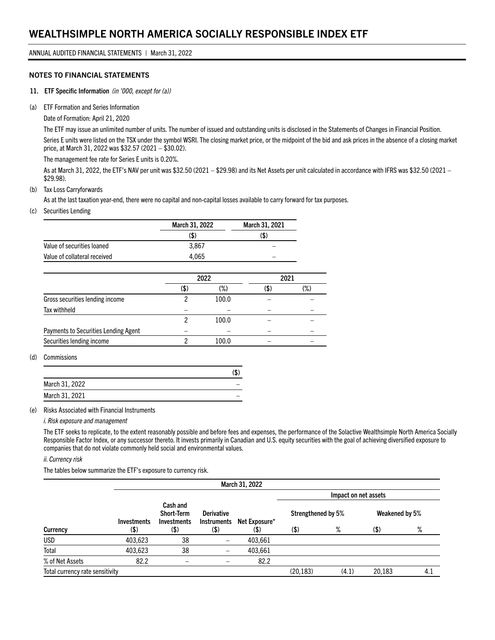#### NOTES TO FINANCIAL STATEMENTS

- 11. ETF Specific Information *(in '000, except for (a))*
- (a) ETF Formation and Series Information

Date of Formation: April 21, 2020

The ETF may issue an unlimited number of units. The number of issued and outstanding units is disclosed in the Statements of Changes in Financial Position. Series E units were listed on the TSX under the symbol WSRI. The closing market price, or the midpoint of the bid and ask prices in the absence of a closing market price, at March 31, 2022 was \$32.57 (2021 – \$30.02).

The management fee rate for Series E units is 0.20%.

As at March 31, 2022, the ETF's NAV per unit was \$32.50 (2021 – \$29.98) and its Net Assets per unit calculated in accordance with IFRS was \$32.50 (2021 – \$29.98).

#### (b) Tax Loss Carryforwards

As at the last taxation year-end, there were no capital and non-capital losses available to carry forward for tax purposes.

#### (c) Securities Lending

|                              | March 31, 2022 | March 31, 2021 |
|------------------------------|----------------|----------------|
|                              | (\$)           | (\$)           |
| Value of securities loaned   | 3.867          |                |
| Value of collateral received | 4.065          |                |

|                                      | 2022 |       |      | 2021 |
|--------------------------------------|------|-------|------|------|
|                                      | (\$  | (%)   | (\$) | (%)  |
| Gross securities lending income      |      | 100.0 |      |      |
| Tax withheld                         |      |       |      |      |
|                                      |      | 100.0 |      |      |
| Payments to Securities Lending Agent |      |       |      |      |
| Securities lending income            |      | 100.0 |      |      |

#### (d) Commissions

|                | (\$) |
|----------------|------|
| March 31, 2022 |      |
| March 31, 2021 |      |
|                |      |

(e) Risks Associated with Financial Instruments

#### *i. Risk exposure and management*

The ETF seeks to replicate, to the extent reasonably possible and before fees and expenses, the performance of the Solactive Wealthsimple North America Socially Responsible Factor Index, or any successor thereto. It invests primarily in Canadian and U.S. equity securities with the goal of achieving diversified exposure to companies that do not violate commonly held social and environmental values.

*ii. Currency risk*

The tables below summarize the ETF's exposure to currency risk.

|                                 |                            |                                                         |                                          | March 31, 2022        |                            |       |                        |     |
|---------------------------------|----------------------------|---------------------------------------------------------|------------------------------------------|-----------------------|----------------------------|-------|------------------------|-----|
|                                 |                            |                                                         |                                          | Net Exposure*<br>(\$) | Impact on net assets       |       |                        |     |
| Currency                        | <b>Investments</b><br>(\$) | Cash and<br>Short-Term<br><b>Investments</b><br>$($ \$) | <b>Derivative</b><br>Instruments<br>(\$) |                       | Strengthened by 5%<br>(\$) | %     | Weakened by 5%<br>(\$) | %   |
| <b>USD</b>                      | 403,623                    | 38                                                      | -                                        | 403.661               |                            |       |                        |     |
| Total                           | 403,623                    | 38                                                      | —                                        | 403,661               |                            |       |                        |     |
| % of Net Assets                 | 82.2                       |                                                         |                                          | 82.2                  |                            |       |                        |     |
| Total currency rate sensitivity |                            |                                                         |                                          |                       | (20, 183)                  | (4.1) | 20,183                 | 4.1 |